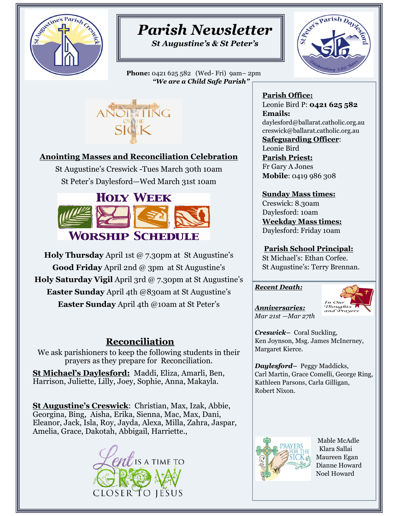

# *Parish Newsletter*

*St Augustine's & St Peter's*

 **Phone:** 0421 625 582 (Wed- Fri) 9am– 2pm *"We are a Child Safe Parish"* 





#### **Anointing Masses and Reconciliation Celebration**

St Augustine's Creswick -Tues March 30th 10am St Peter's Daylesford—Wed March 31st 10am



**Holy Thursday** April 1st @ 7.30pm at St Augustine's **Good Friday** April 2nd @ 3pm at St Augustine's **Holy Saturday Vigil** April 3rd @ 7.30pm at St Augustine's **Easter Sunday** April 4th @830am at St Augustine's **Easter Sunday** April 4th @10am at St Peter's

### **Reconciliation**

We ask parishioners to keep the following students in their prayers as they prepare for Reconciliation.

**St Michael's Daylesford:** Maddi, Eliza, Amarli, Ben, Harrison, Juliette, Lilly, Joey, Sophie, Anna, Makayla.

**St Augustine's Creswick**: Christian, Max, Izak, Abbie, Georgina, Bing, Aisha, Erika, Sienna, Mac, Max, Dani, Eleanor, Jack, Isla, Roy, Jayda, Alexa, Milla, Zahra, Jaspar, Amelia, Grace, Dakotah, Abbigail, Harriette.,



**Parish Office:**  Leonie Bird P: **0421 625 582 Emails:**  daylesford@ballarat.catholic.org.au creswick@ballarat.catholic.org.au

**Safeguarding Officer**: Leonie Bird **Parish Priest:**  Fr Gary A Jones **Mobile**: 0419 986 308

**Sunday Mass times:**  Creswick: 8.30am Daylesford: 10am **Weekday Mass times:** Daylesford: Friday 10am

**Parish School Principal:**  St Michael's: Ethan Corfee. St Augustine's: Terry Brennan.

#### *Recent Death:*



*Anniversaries: Mar 21st —Mar 27th* 

*Creswick–* Coral Suckling, Ken Joynson, Msg. James McInerney, Margaret Kierce.

*Daylesford–* Peggy Maddicks, Carl Martin, Grace Comelli, George Ring, Kathleen Parsons, Carla Gilligan, Robert Nixon.



 Mable McAdle Klara Sallai Maureen Egan Dianne Howard Noel Howard